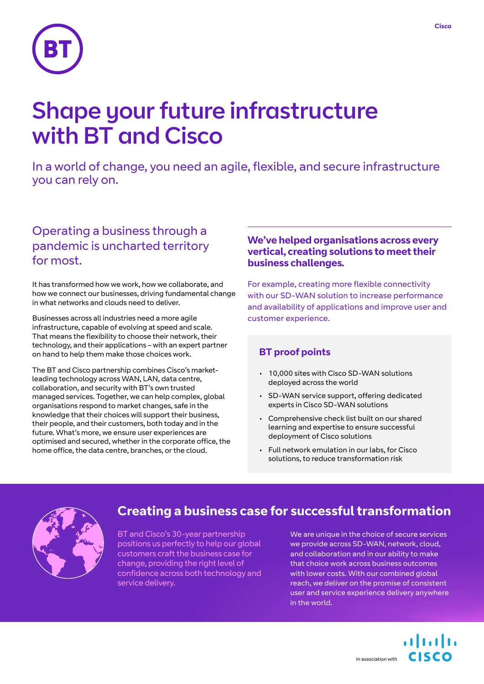

# Shape your future infrastructure with BT and Cisco

In a world of change, you need an agile, flexible, and secure infrastructure you can rely on.

# Operating a business through a pandemic is uncharted territory for most.

It has transformed how we work, how we collaborate, and how we connect our businesses, driving fundamental change in what networks and clouds need to deliver.

Businesses across all industries need a more agile infrastructure, capable of evolving at speed and scale. That means the flexibility to choose their network, their technology, and their applications – with an expert partner on hand to help them make those choices work.

The BT and Cisco partnership combines Cisco's marketleading technology across WAN, LAN, data centre, collaboration, and security with BT's own trusted managed services. Together, we can help complex, global organisations respond to market changes, safe in the knowledge that their choices will support their business, their people, and their customers, both today and in the future. What's more, we ensure user experiences are optimised and secured, whether in the corporate office, the home office, the data centre, branches, or the cloud.

### **We've helped organisations across every vertical, creating solutions to meet their business challenges.**

For example, creating more flexible connectivity with our SD-WAN solution to increase performance and availability of applications and improve user and customer experience.

## **BT proof points**

- 10,000 sites with Cisco SD-WAN solutions deployed across the world
- SD-WAN service support, offering dedicated experts in Cisco SD-WAN solutions
- Comprehensive check list built on our shared learning and expertise to ensure successful deployment of Cisco solutions
- Full network emulation in our labs, for Cisco solutions, to reduce transformation risk



# **Creating a business case for successful transformation**

BT and Cisco's 30-year partnership positions us perfectly to help our global customers craft the business case for change, providing the right level of confidence across both technology and service delivery.

We are unique in the choice of secure services we provide across SD-WAN, network, cloud, and collaboration and in our ability to make that choice work across business outcomes with lower costs. With our combined global reach, we deliver on the promise of consistent user and service experience delivery anywhere in the world.

 $(11.1)$ CISCO